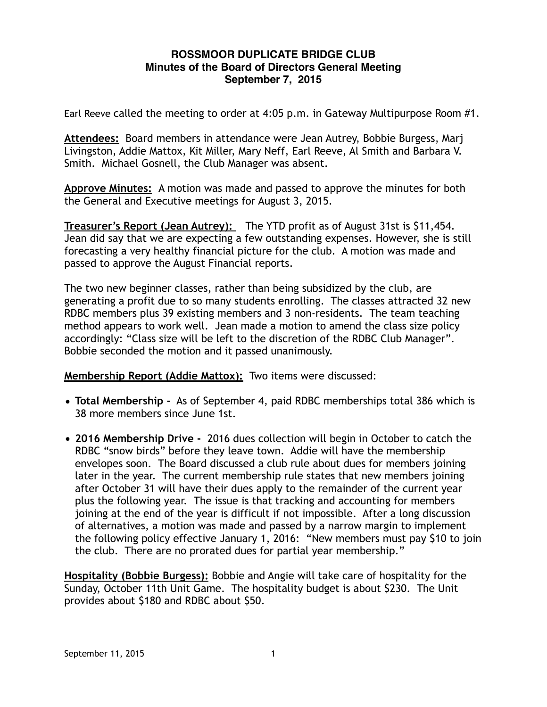## **ROSSMOOR DUPLICATE BRIDGE CLUB Minutes of the Board of Directors General Meeting September 7, 2015**

Earl Reeve called the meeting to order at 4:05 p.m. in Gateway Multipurpose Room #1.

**Attendees:** Board members in attendance were Jean Autrey, Bobbie Burgess, Marj Livingston, Addie Mattox, Kit Miller, Mary Neff, Earl Reeve, Al Smith and Barbara V. Smith. Michael Gosnell, the Club Manager was absent.

**Approve Minutes:** A motion was made and passed to approve the minutes for both the General and Executive meetings for August 3, 2015.

**Treasurer's Report (Jean Autrey):** The YTD profit as of August 31st is \$11,454. Jean did say that we are expecting a few outstanding expenses. However, she is still forecasting a very healthy financial picture for the club. A motion was made and passed to approve the August Financial reports.

The two new beginner classes, rather than being subsidized by the club, are generating a profit due to so many students enrolling. The classes attracted 32 new RDBC members plus 39 existing members and 3 non-residents. The team teaching method appears to work well. Jean made a motion to amend the class size policy accordingly: "Class size will be left to the discretion of the RDBC Club Manager". Bobbie seconded the motion and it passed unanimously.

**Membership Report (Addie Mattox):** Two items were discussed:

- **Total Membership -** As of September 4, paid RDBC memberships total 386 which is 38 more members since June 1st.
- **2016 Membership Drive -** 2016 dues collection will begin in October to catch the RDBC "snow birds" before they leave town. Addie will have the membership envelopes soon. The Board discussed a club rule about dues for members joining later in the year. The current membership rule states that new members joining after October 31 will have their dues apply to the remainder of the current year plus the following year. The issue is that tracking and accounting for members joining at the end of the year is difficult if not impossible. After a long discussion of alternatives, a motion was made and passed by a narrow margin to implement the following policy effective January 1, 2016: "New members must pay \$10 to join the club. There are no prorated dues for partial year membership."

**Hospitality (Bobbie Burgess):** Bobbie and Angie will take care of hospitality for the Sunday, October 11th Unit Game. The hospitality budget is about \$230. The Unit provides about \$180 and RDBC about \$50.